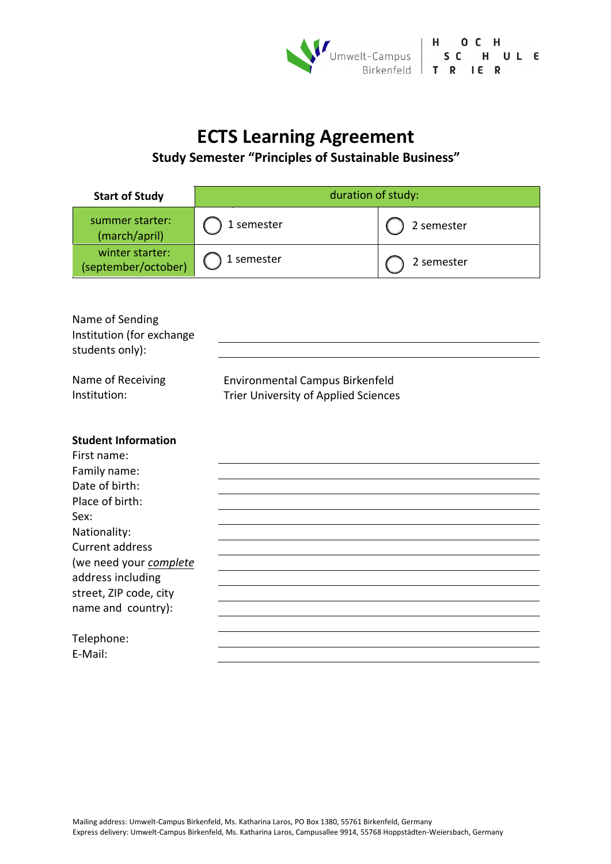

# **ECTS Learning Agreement**

# **Study Semester "Principles of Sustainable Business"**

| <b>Start of Study</b>                  | duration of study: |            |
|----------------------------------------|--------------------|------------|
| summer starter:<br>(march/april)       | 1 semester         | 2 semester |
| winter starter:<br>(september/october) | 1 semester         | 2 semester |

| Name of Sending<br>Institution (for exchange<br>students only): |                                                                                |
|-----------------------------------------------------------------|--------------------------------------------------------------------------------|
| Name of Receiving<br>Institution:                               | Environmental Campus Birkenfeld<br><b>Trier University of Applied Sciences</b> |
| <b>Student Information</b>                                      |                                                                                |
| First name:                                                     |                                                                                |
| Family name:                                                    |                                                                                |
| Date of birth:                                                  |                                                                                |
| Place of birth:                                                 |                                                                                |
| Sex:                                                            |                                                                                |
| Nationality:<br><b>Current address</b>                          |                                                                                |
| (we need your complete                                          |                                                                                |
| address including                                               |                                                                                |
| street, ZIP code, city                                          |                                                                                |
| name and country):                                              |                                                                                |
|                                                                 |                                                                                |
| Telephone:                                                      |                                                                                |
| E-Mail:                                                         |                                                                                |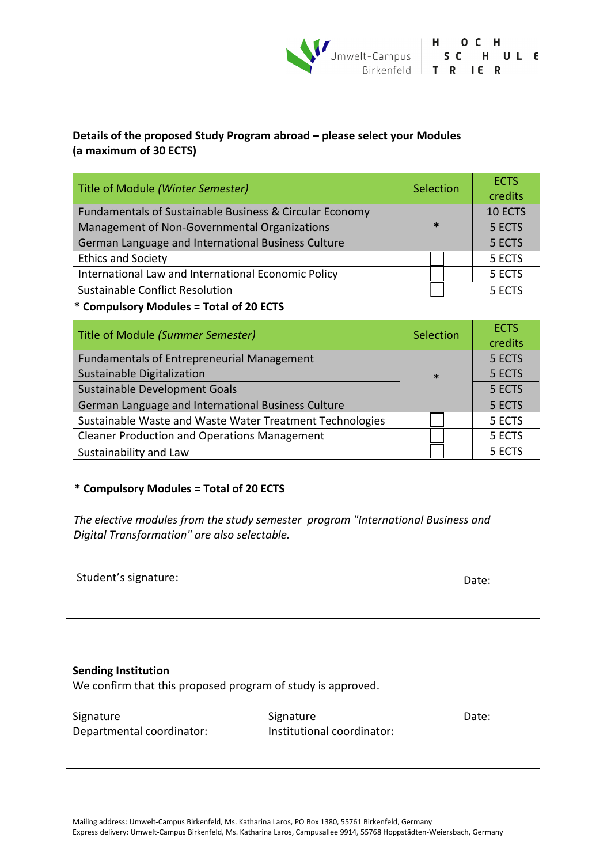

## **Details of the proposed Study Program abroad – please select your Modules (a maximum of 30 ECTS)**

| Title of Module (Winter Semester)                       | Selection | <b>ECTS</b> |
|---------------------------------------------------------|-----------|-------------|
|                                                         |           | credits     |
| Fundamentals of Sustainable Business & Circular Economy |           | 10 ECTS     |
| Management of Non-Governmental Organizations            | $\ast$    | 5 ECTS      |
| German Language and International Business Culture      |           | 5 ECTS      |
| <b>Ethics and Society</b>                               | 5 ECTS    |             |
| International Law and International Economic Policy     |           | 5 ECTS      |
| Sustainable Conflict Resolution                         |           | 5 ECTS      |

#### **\* Compulsory Modules = Total of 20 ECTS**

| Title of Module (Summer Semester)                        | Selection | <b>ECTS</b><br>credits |
|----------------------------------------------------------|-----------|------------------------|
| Fundamentals of Entrepreneurial Management               |           | 5 ECTS                 |
| Sustainable Digitalization                               | $\ast$    | 5 ECTS                 |
| Sustainable Development Goals                            |           | 5 ECTS                 |
| German Language and International Business Culture       |           | 5 ECTS                 |
| Sustainable Waste and Waste Water Treatment Technologies |           | 5 ECTS                 |
| <b>Cleaner Production and Operations Management</b>      |           | 5 ECTS                 |
| Sustainability and Law                                   |           | 5 ECTS                 |

### **\* Compulsory Modules = Total of 20 ECTS**

*The elective modules from the study semester program "International Business and Digital Transformation" are also selectable.*

| Student's signature: | Date: |
|----------------------|-------|
|                      |       |

#### **Sending Institution**

We confirm that this proposed program of study is approved.

| Signature                 | Signature                  | Date: |
|---------------------------|----------------------------|-------|
| Departmental coordinator: | Institutional coordinator: |       |